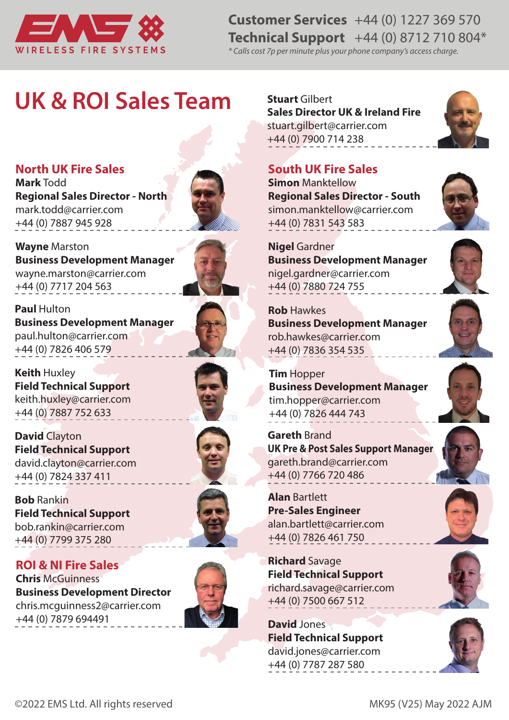

## **Customer Services** +44 (0) 1227 369 570 **Technical Support** +44 (0) 8712 710 804\*

*\* Calls cost 7p per minute plus your phone company's access charge.*

## **UK & ROI Sales Team**

**North UK Fire Sales** 

**Mark** Todd **Regional Sales Director - North** mark.todd@carrier.com +44 (0) 7887 945 928



**Wayne** Marston **Business Development Manager** wayne.marston@carrier.com +44 (0) 7717 204 563



**Keith** Huxley **Field Technical Support**  keith.huxley@carrier.com +44 (0) 7887 752 633

**David** Clayton **Field Technical Support**  david.clayton@carrier.com +44 (0) 7824 337 411

**Bob** Rankin **Field Technical Support**  bob.rankin@carrier.com +44 (0) 7799 375 280

**ROI & NI Fire Sales Chris** McGuinness **Business Development Director** chris.mcguinness2@carrier.com +44 (0) 7879 694491







**Stuart** Gilbert **Sales Director UK & Ireland Fire** stuart.gilbert@carrier.com +44 (0) 7900 714 238

## **South UK Fire Sales**

**Simon** Manktellow **Regional Sales Director - South** simon.manktellow@carrier.com +44 (0) 7831 543 583



**Rob** Hawkes **Business Development Manager** rob.hawkes@carrier.com +44 (0) 7836 354 535

**Tim** Hopper **Business Development Manager** tim.hopper@carrier.com +44 (0) 7826 444 743

**Gareth** Brand **UK Pre & Post Sales Support Manager** gareth.brand@carrier.com +44 (0) 7766 720 486

**Alan** Bartlett **Pre-Sales Engineer** alan.bartlett@carrier.com +44 (0) 7826 461 750

**Richard** Savage **Field Technical Support** richard.savage@carrier.com +44 (0) 7500 667 512

**David** Jones **Field Technical Support**  david.jones@carrier.com +44 (0) 7787 287 580